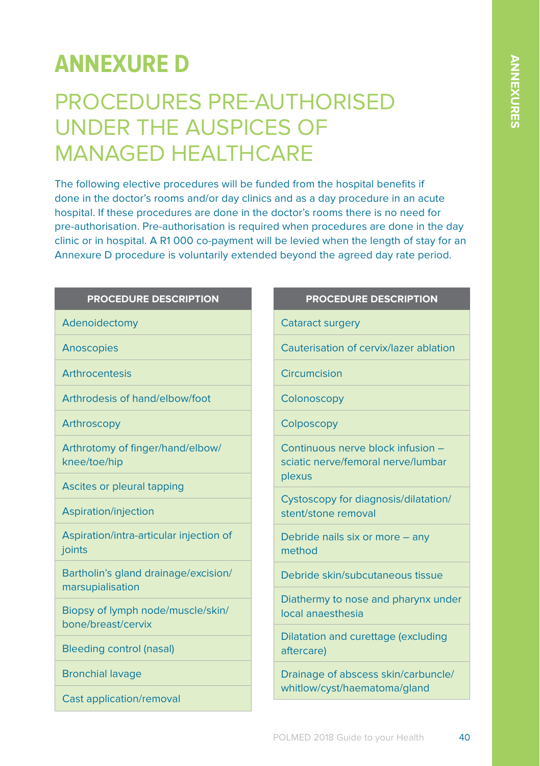# **ANNEXURE D**

## PROCEDURES PRE-AUTHORISED UNDER THE AUSPICES OF MANAGED HEALTHCARE

The following elective procedures will be funded from the hospital benefits if done in the doctor's rooms and/or day clinics and as a day procedure in an acute hospital. If these procedures are done in the doctor's rooms there is no need for pre-authorisation. Pre-authorisation is required when procedures are done in the day clinic or in hospital. A R1 000 co-payment will be levied when the length of stay for an Annexure D procedure is voluntarily extended beyond the agreed day rate period.

### **PROCEDURE DESCRIPTION**

Adenoidectomy

Anoscopies

Arthrocentesis

Arthrodesis of hand/elbow/foot

Arthroscopy

Arthrotomy of finger/hand/elbow/ knee/toe/hip

Ascites or pleural tapping

Aspiration/injection

Aspiration/intra-articular injection of ioints

Bartholin's gland drainage/excision/ marsupialisation

Biopsy of lymph node/muscle/skin/ bone/breast/cervix

Bleeding control (nasal)

Bronchial lavage

Cast application/removal

#### **PROCEDURE DESCRIPTION**

Cataract surgery

Cauterisation of cervix/lazer ablation

**Circumcision** 

**Colonoscopy** 

**Colposcopy** 

Continuous nerve block infusion – sciatic nerve/femoral nerve/lumbar plexus

Cystoscopy for diagnosis/dilatation/ stent/stone removal

Debride nails six or more – any method

Debride skin/subcutaneous tissue

Diathermy to nose and pharynx under local anaesthesia

Dilatation and curettage (excluding aftercare)

Drainage of abscess skin/carbuncle/ whitlow/cyst/haematoma/gland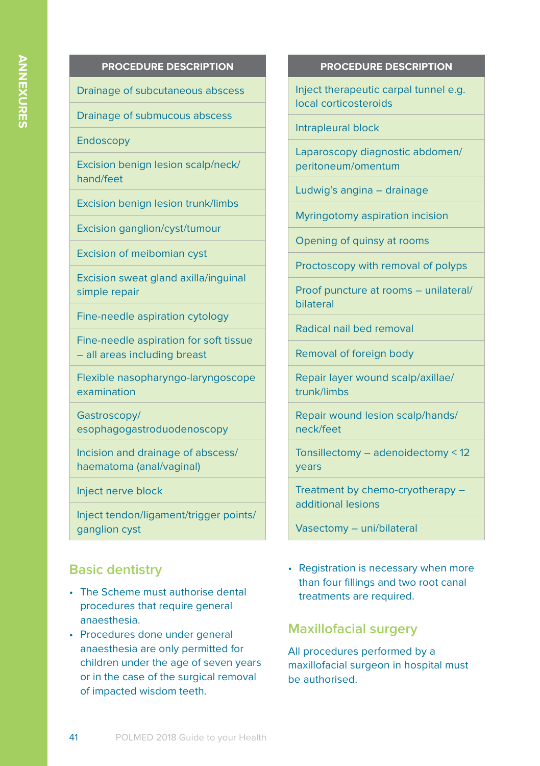### **PROCEDURE DESCRIPTION**

Drainage of subcutaneous abscess

Drainage of submucous abscess

Endoscopy

Excision benign lesion scalp/neck/ hand/feet

Excision benign lesion trunk/limbs

Excision ganglion/cyst/tumour

Excision of meibomian cyst

Excision sweat gland axilla/inguinal simple repair

Fine-needle aspiration cytology

Fine-needle aspiration for soft tissue – all areas including breast

Flexible nasopharyngo-laryngoscope examination

Gastroscopy/ esophagogastroduodenoscopy

Incision and drainage of abscess/ haematoma (anal/vaginal)

Inject nerve block

Inject tendon/ligament/trigger points/ ganglion cyst

## **Basic dentistry**

- The Scheme must authorise dental procedures that require general anaesthesia.
- Procedures done under general anaesthesia are only permitted for children under the age of seven years or in the case of the surgical removal of impacted wisdom teeth.

#### **PROCEDURE DESCRIPTION**

Inject therapeutic carpal tunnel e.g. local corticosteroids

Intrapleural block

Laparoscopy diagnostic abdomen/ peritoneum/omentum

Ludwig's angina – drainage

Myringotomy aspiration incision

Opening of quinsy at rooms

Proctoscopy with removal of polyps

Proof puncture at rooms – unilateral/ bilateral

Radical nail bed removal

Removal of foreign body

Repair layer wound scalp/axillae/ trunk/limbs

Repair wound lesion scalp/hands/ neck/feet

Tonsillectomy – adenoidectomy < 12 years

Treatment by chemo-cryotherapy – additional lesions

Vasectomy – uni/bilateral

• Registration is necessary when more than four fillings and two root canal treatments are required.

### **Maxillofacial surgery**

All procedures performed by a maxillofacial surgeon in hospital must be authorised.